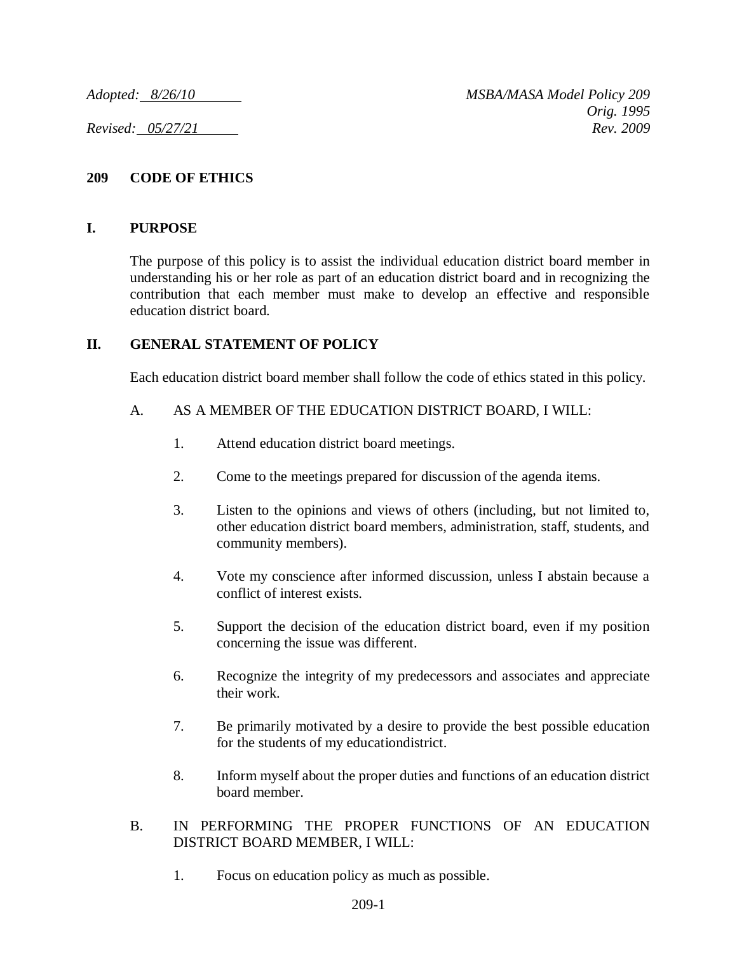### **209 CODE OF ETHICS**

### **I. PURPOSE**

The purpose of this policy is to assist the individual education district board member in understanding his or her role as part of an education district board and in recognizing the contribution that each member must make to develop an effective and responsible education district board.

### **II. GENERAL STATEMENT OF POLICY**

Each education district board member shall follow the code of ethics stated in this policy.

### A. AS A MEMBER OF THE EDUCATION DISTRICT BOARD, I WILL:

- 1. Attend education district board meetings.
- 2. Come to the meetings prepared for discussion of the agenda items.
- 3. Listen to the opinions and views of others (including, but not limited to, other education district board members, administration, staff, students, and community members).
- 4. Vote my conscience after informed discussion, unless I abstain because a conflict of interest exists.
- 5. Support the decision of the education district board, even if my position concerning the issue was different.
- 6. Recognize the integrity of my predecessors and associates and appreciate their work.
- 7. Be primarily motivated by a desire to provide the best possible education for the students of my educationdistrict.
- 8. Inform myself about the proper duties and functions of an education district board member.

#### B. IN PERFORMING THE PROPER FUNCTIONS OF AN EDUCATION DISTRICT BOARD MEMBER, I WILL:

1. Focus on education policy as much as possible.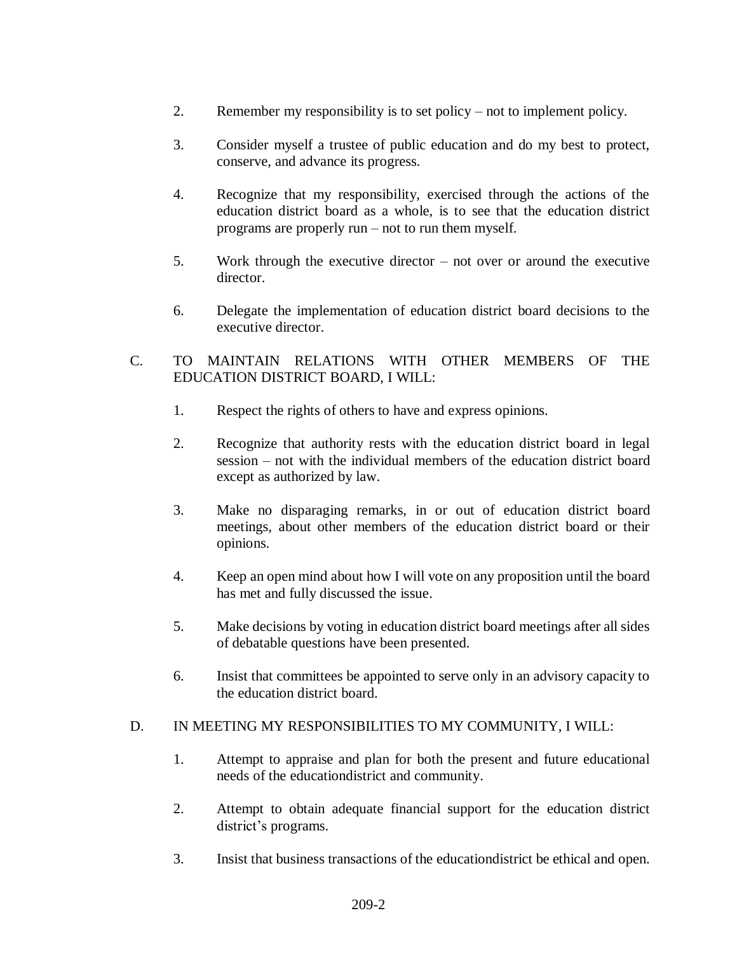- 2. Remember my responsibility is to set policy not to implement policy.
- 3. Consider myself a trustee of public education and do my best to protect, conserve, and advance its progress.
- 4. Recognize that my responsibility, exercised through the actions of the education district board as a whole, is to see that the education district programs are properly run – not to run them myself.
- 5. Work through the executive director not over or around the executive director.
- 6. Delegate the implementation of education district board decisions to the executive director.
- C. TO MAINTAIN RELATIONS WITH OTHER MEMBERS OF THE EDUCATION DISTRICT BOARD, I WILL:
	- 1. Respect the rights of others to have and express opinions.
	- 2. Recognize that authority rests with the education district board in legal session – not with the individual members of the education district board except as authorized by law.
	- 3. Make no disparaging remarks, in or out of education district board meetings, about other members of the education district board or their opinions.
	- 4. Keep an open mind about how I will vote on any proposition until the board has met and fully discussed the issue.
	- 5. Make decisions by voting in education district board meetings after all sides of debatable questions have been presented.
	- 6. Insist that committees be appointed to serve only in an advisory capacity to the education district board.

# D. IN MEETING MY RESPONSIBILITIES TO MY COMMUNITY, I WILL:

- 1. Attempt to appraise and plan for both the present and future educational needs of the educationdistrict and community.
- 2. Attempt to obtain adequate financial support for the education district district's programs.
- 3. Insist that business transactions of the educationdistrict be ethical and open.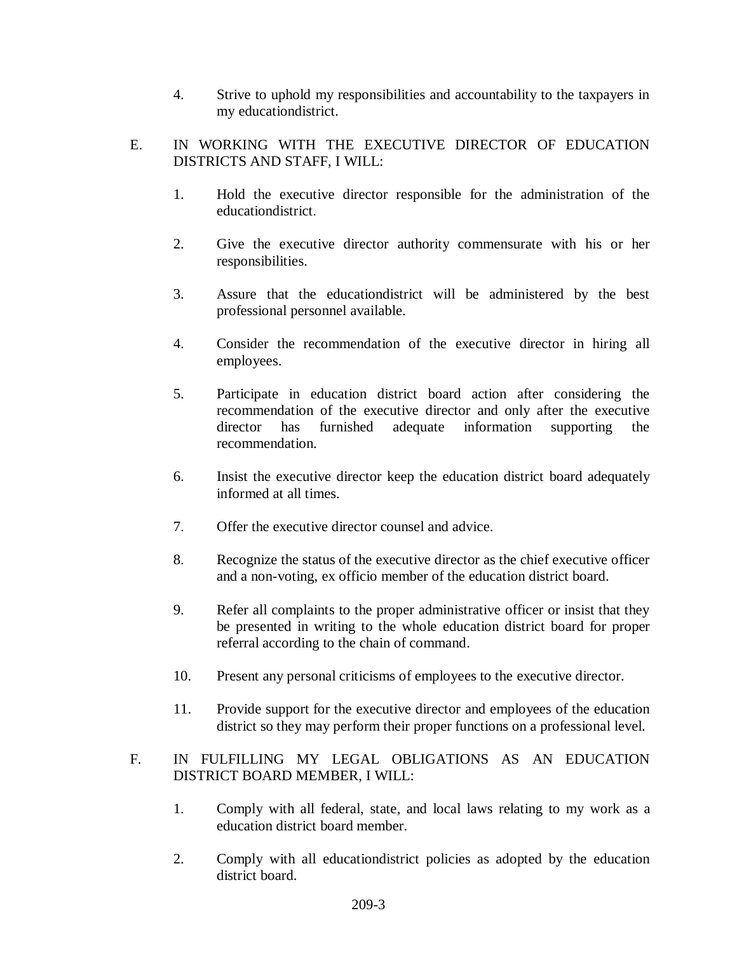- 4. Strive to uphold my responsibilities and accountability to the taxpayers in my educationdistrict.
- E. IN WORKING WITH THE EXECUTIVE DIRECTOR OF EDUCATION DISTRICTS AND STAFF, I WILL:
	- 1. Hold the executive director responsible for the administration of the educationdistrict.
	- 2. Give the executive director authority commensurate with his or her responsibilities.
	- 3. Assure that the educationdistrict will be administered by the best professional personnel available.
	- 4. Consider the recommendation of the executive director in hiring all employees.
	- 5. Participate in education district board action after considering the recommendation of the executive director and only after the executive director has furnished adequate information supporting the recommendation.
	- 6. Insist the executive director keep the education district board adequately informed at all times.
	- 7. Offer the executive director counsel and advice.
	- 8. Recognize the status of the executive director as the chief executive officer and a non-voting, ex officio member of the education district board.
	- 9. Refer all complaints to the proper administrative officer or insist that they be presented in writing to the whole education district board for proper referral according to the chain of command.
	- 10. Present any personal criticisms of employees to the executive director.
	- 11. Provide support for the executive director and employees of the education district so they may perform their proper functions on a professional level.

# F. IN FULFILLING MY LEGAL OBLIGATIONS AS AN EDUCATION DISTRICT BOARD MEMBER, I WILL:

- 1. Comply with all federal, state, and local laws relating to my work as a education district board member.
- 2. Comply with all educationdistrict policies as adopted by the education district board.